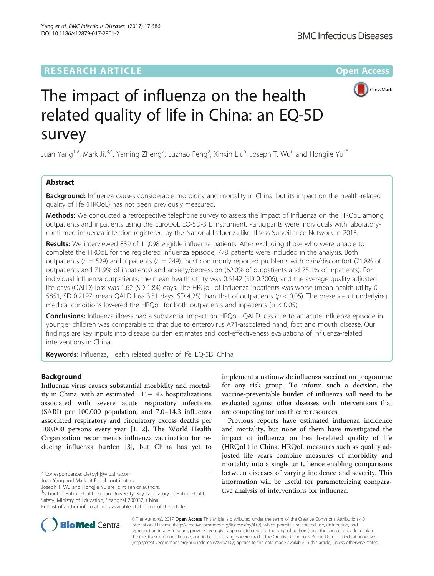# **RESEARCH ARTICLE Example 2014 12:30 The Contract of Contract ACCESS**

DOI 10.1186/s12879-017-2801-2

Yang et al. BMC Infectious Diseases (2017) 17:686



# The impact of influenza on the health related quality of life in China: an EQ-5D survey

Juan Yang<sup>1,2</sup>, Mark Jit<sup>3,4</sup>, Yaming Zheng<sup>2</sup>, Luzhao Feng<sup>2</sup>, Xinxin Liu<sup>5</sup>, Joseph T. Wu<sup>6</sup> and Hongjie Yu<sup>1\*</sup>

# Abstract

Background: Influenza causes considerable morbidity and mortality in China, but its impact on the health-related quality of life (HRQoL) has not been previously measured.

**Methods:** We conducted a retrospective telephone survey to assess the impact of influenza on the HRQoL among outpatients and inpatients using the EuroQoL EQ-5D-3 L instrument. Participants were individuals with laboratoryconfirmed influenza infection registered by the National Influenza-like-illness Surveillance Network in 2013.

Results: We interviewed 839 of 11,098 eligible influenza patients. After excluding those who were unable to complete the HRQoL for the registered influenza episode, 778 patients were included in the analysis. Both outpatients ( $n = 529$ ) and inpatients ( $n = 249$ ) most commonly reported problems with pain/discomfort (71.8% of outpatients and 71.9% of inpatients) and anxiety/depression (62.0% of outpatients and 75.1% of inpatients). For individual influenza outpatients, the mean health utility was 0.6142 (SD 0.2006), and the average quality adjusted life days (QALD) loss was 1.62 (SD 1.84) days. The HRQoL of influenza inpatients was worse (mean health utility 0. 5851, SD 0.2197; mean QALD loss 3.51 days, SD 4.25) than that of outpatients ( $p < 0.05$ ). The presence of underlying medical conditions lowered the HRQoL for both outpatients and inpatients ( $p < 0.05$ ).

**Conclusions:** Influenza illness had a substantial impact on HRQoL. QALD loss due to an acute influenza episode in younger children was comparable to that due to enterovirus A71-associated hand, foot and mouth disease. Our findings are key inputs into disease burden estimates and cost-effectiveness evaluations of influenza-related interventions in China.

Keywords: Influenza, Health related quality of life, EQ-5D, China

# Background

Influenza virus causes substantial morbidity and mortality in China, with an estimated 115–142 hospitalizations associated with severe acute respiratory infections (SARI) per 100,000 population, and 7.0–14.3 influenza associated respiratory and circulatory excess deaths per 100,000 persons every year [\[1](#page-10-0), [2](#page-10-0)]. The World Health Organization recommends influenza vaccination for reducing influenza burden [\[3](#page-10-0)], but China has yet to

\* Correspondence: [cfetpyhj@vip.sina.com](mailto:cfetpyhj@vip.sina.com)

Juan Yang and Mark Jit Equal contributors.

Joseph T. Wu and Hongjie Yu are joint senior authors.

<sup>1</sup>School of Public Health, Fudan University, Key Laboratory of Public Health Safety, Ministry of Education, Shanghai 200032, China Full list of author information is available at the end of the article

Previous reports have estimated influenza incidence and mortality, but none of them have investigated the impact of influenza on health-related quality of life (HRQoL) in China. HRQoL measures such as quality adjusted life years combine measures of morbidity and mortality into a single unit, hence enabling comparisons between diseases of varying incidence and severity. This information will be useful for parameterizing comparative analysis of interventions for influenza.



© The Author(s). 2017 **Open Access** This article is distributed under the terms of the Creative Commons Attribution 4.0 International License [\(http://creativecommons.org/licenses/by/4.0/](http://creativecommons.org/licenses/by/4.0/)), which permits unrestricted use, distribution, and reproduction in any medium, provided you give appropriate credit to the original author(s) and the source, provide a link to the Creative Commons license, and indicate if changes were made. The Creative Commons Public Domain Dedication waiver [\(http://creativecommons.org/publicdomain/zero/1.0/](http://creativecommons.org/publicdomain/zero/1.0/)) applies to the data made available in this article, unless otherwise stated.

implement a nationwide influenza vaccination programme for any risk group. To inform such a decision, the vaccine-preventable burden of influenza will need to be evaluated against other diseases with interventions that are competing for health care resources.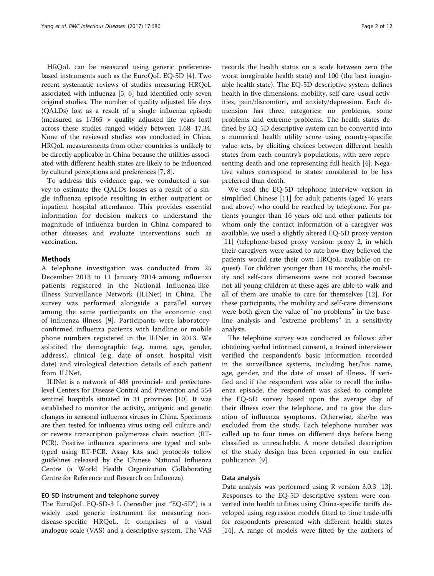HRQoL can be measured using generic preferencebased instruments such as the EuroQoL EQ-5D [[4\]](#page-10-0). Two recent systematic reviews of studies measuring HRQoL associated with influenza [\[5](#page-10-0), [6](#page-11-0)] had identified only seven original studies. The number of quality adjusted life days (QALDs) lost as a result of a single influenza episode (measured as  $1/365 \times$  quality adjusted life years lost) across these studies ranged widely between 1.68–17.34. None of the reviewed studies was conducted in China. HRQoL measurements from other countries is unlikely to be directly applicable in China because the utilities associated with different health states are likely to be influenced by cultural perceptions and preferences [[7, 8](#page-11-0)].

To address this evidence gap, we conducted a survey to estimate the QALDs losses as a result of a single influenza episode resulting in either outpatient or inpatient hospital attendance. This provides essential information for decision makers to understand the magnitude of influenza burden in China compared to other diseases and evaluate interventions such as vaccination.

# Methods

A telephone investigation was conducted from 25 December 2013 to 11 January 2014 among influenza patients registered in the National Influenza-likeillness Surveillance Network (ILINet) in China. The survey was performed alongside a parallel survey among the same participants on the economic cost of influenza illness [[9](#page-11-0)]. Participants were laboratoryconfirmed influenza patients with landline or mobile phone numbers registered in the ILINet in 2013. We solicited the demographic (e.g. name, age, gender, address), clinical (e.g. date of onset, hospital visit date) and virological detection details of each patient from ILINet.

ILINet is a network of 408 provincial- and prefecturelevel Centers for Disease Control and Prevention and 554 sentinel hospitals situated in 31 provinces [\[10\]](#page-11-0). It was established to monitor the activity, antigenic and genetic changes in seasonal influenza viruses in China. Specimens are then tested for influenza virus using cell culture and/ or reverse transcription polymerase chain reaction (RT-PCR). Positive influenza specimens are typed and subtyped using RT-PCR. Assay kits and protocols follow guidelines released by the Chinese National Influenza Centre (a World Health Organization Collaborating Centre for Reference and Research on Influenza).

# EQ-5D instrument and telephone survey

The EuroQoL EQ-5D-3 L (hereafter just "EQ-5D") is a widely used generic instrument for measuring nondisease-specific HRQoL. It comprises of a visual analogue scale (VAS) and a descriptive system. The VAS

records the health status on a scale between zero (the worst imaginable health state) and 100 (the best imaginable health state). The EQ-5D descriptive system defines health in five dimensions: mobility, self-care, usual activities, pain/discomfort, and anxiety/depression. Each dimension has three categories: no problems, some problems and extreme problems. The health states defined by EQ-5D descriptive system can be converted into a numerical health utility score using country-specific value sets, by eliciting choices between different health states from each country's populations, with zero representing death and one representing full health [[4\]](#page-10-0). Negative values correspond to states considered to be less preferred than death.

We used the EQ-5D telephone interview version in simplified Chinese [\[11](#page-11-0)] for adult patients (aged 16 years and above) who could be reached by telephone. For patients younger than 16 years old and other patients for whom only the contact information of a caregiver was available, we used a slightly altered EQ-5D proxy version [[11\]](#page-11-0) (telephone-based proxy version: proxy 2, in which their caregivers were asked to rate how they believed the patients would rate their own HRQoL; available on request). For children younger than 18 months, the mobility and self-care dimensions were not scored because not all young children at these ages are able to walk and all of them are unable to care for themselves [\[12](#page-11-0)]. For these participants, the mobility and self-care dimensions were both given the value of "no problems" in the baseline analysis and "extreme problems" in a sensitivity analysis.

The telephone survey was conducted as follows: after obtaining verbal informed consent, a trained interviewer verified the respondent's basic information recorded in the surveillance systems, including her/his name, age, gender, and the date of onset of illness. If verified and if the respondent was able to recall the influenza episode, the respondent was asked to complete the EQ-5D survey based upon the average day of their illness over the telephone, and to give the duration of influenza symptoms. Otherwise, she/he was excluded from the study. Each telephone number was called up to four times on different days before being classified as unreachable. A more detailed description of the study design has been reported in our earlier publication [[9\]](#page-11-0).

# Data analysis

Data analysis was performed using R version 3.0.3 [\[13](#page-11-0)]. Responses to the EQ-5D descriptive system were converted into health utilities using China-specific tariffs developed using regression models fitted to time trade-offs for respondents presented with different health states [[14\]](#page-11-0). A range of models were fitted by the authors of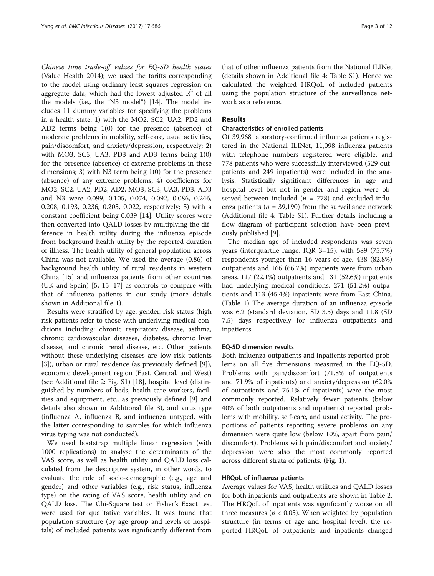Chinese time trade-off values for EQ-5D health states (Value Health 2014); we used the tariffs corresponding to the model using ordinary least squares regression on aggregate data, which had the lowest adjusted  $\mathbb{R}^2$  of all the models (i.e., the "N3 model") [[14\]](#page-11-0). The model includes 11 dummy variables for specifying the problems in a health state: 1) with the MO2, SC2, UA2, PD2 and AD2 terms being 1(0) for the presence (absence) of moderate problems in mobility, self-care, usual activities, pain/discomfort, and anxiety/depression, respectively; 2) with MO3, SC3, UA3, PD3 and AD3 terms being 1(0) for the presence (absence) of extreme problems in these dimensions; 3) with N3 term being 1(0) for the presence (absence) of any extreme problems; 4) coefficients for MO2, SC2, UA2, PD2, AD2, MO3, SC3, UA3, PD3, AD3 and N3 were 0.099, 0.105, 0.074, 0.092, 0.086, 0.246, 0.208, 0.193, 0.236, 0.205, 0.022, respectively; 5) with a constant coefficient being 0.039 [[14\]](#page-11-0). Utility scores were then converted into QALD losses by multiplying the difference in health utility during the influenza episode from background health utility by the reported duration of illness. The health utility of general population across China was not available. We used the average (0.86) of background health utility of rural residents in western China [\[15](#page-11-0)] and influenza patients from other countries (UK and Spain) [[5,](#page-10-0) [15](#page-11-0)–[17](#page-11-0)] as controls to compare with that of influenza patients in our study (more details shown in Additional file [1](#page-10-0)).

Results were stratified by age, gender, risk status (high risk patients refer to those with underlying medical conditions including: chronic respiratory disease, asthma, chronic cardiovascular diseases, diabetes, chronic liver disease, and chronic renal disease, etc. Other patients without these underlying diseases are low risk patients [[3\]](#page-10-0)), urban or rural residence (as previously defined [\[9](#page-11-0)]), economic development region (East, Central, and West) (see Additional file [2:](#page-10-0) Fig. S1) [\[18](#page-11-0)], hospital level (distinguished by numbers of beds, health-care workers, facilities and equipment, etc., as previously defined [\[9](#page-11-0)] and details also shown in Additional file [3\)](#page-10-0), and virus type (influenza A, influenza B, and influenza untyped, with the latter corresponding to samples for which influenza virus typing was not conducted).

We used bootstrap multiple linear regression (with 1000 replications) to analyse the determinants of the VAS score, as well as health utility and QALD loss calculated from the descriptive system, in other words, to evaluate the role of socio-demographic (e.g., age and gender) and other variables (e.g., risk status, influenza type) on the rating of VAS score, health utility and on QALD loss. The Chi-Square test or Fisher's Exact test were used for qualitative variables. It was found that population structure (by age group and levels of hospitals) of included patients was significantly different from that of other influenza patients from the National ILINet (details shown in Additional file [4](#page-10-0): Table S1). Hence we calculated the weighted HRQoL of included patients using the population structure of the surveillance network as a reference.

# Results

# Characteristics of enrolled patients

Of 39,968 laboratory-confirmed influenza patients registered in the National ILINet, 11,098 influenza patients with telephone numbers registered were eligible, and 778 patients who were successfully interviewed (529 outpatients and 249 inpatients) were included in the analysis. Statistically significant differences in age and hospital level but not in gender and region were observed between included ( $n = 778$ ) and excluded influenza patients ( $n = 39,190$ ) from the surveillance network (Additional file [4](#page-10-0): Table S1). Further details including a flow diagram of participant selection have been previously published [\[9](#page-11-0)].

The median age of included respondents was seven years (interquartile range, IQR 3–15), with 589 (75.7%) respondents younger than 16 years of age. 438 (82.8%) outpatients and 166 (66.7%) inpatients were from urban areas. 117 (22.1%) outpatients and 131 (52.6%) inpatients had underlying medical conditions. 271 (51.2%) outpatients and 113 (45.4%) inpatients were from East China. (Table [1](#page-3-0)) The average duration of an influenza episode was 6.2 (standard deviation, SD 3.5) days and 11.8 (SD 7.5) days respectively for influenza outpatients and inpatients.

# EQ-5D dimension results

Both influenza outpatients and inpatients reported problems on all five dimensions measured in the EQ-5D. Problems with pain/discomfort (71.8% of outpatients and 71.9% of inpatients) and anxiety/depression (62.0% of outpatients and 75.1% of inpatients) were the most commonly reported. Relatively fewer patients (below 40% of both outpatients and inpatients) reported problems with mobility, self-care, and usual activity. The proportions of patients reporting severe problems on any dimension were quite low (below 10%, apart from pain/ discomfort). Problems with pain/discomfort and anxiety/ depression were also the most commonly reported across different strata of patients. (Fig. [1\)](#page-4-0).

## HRQoL of influenza patients

Average values for VAS, health utilities and QALD losses for both inpatients and outpatients are shown in Table [2](#page-4-0). The HRQoL of inpatients was significantly worse on all three measures ( $p < 0.05$ ). When weighted by population structure (in terms of age and hospital level), the reported HRQoL of outpatients and inpatients changed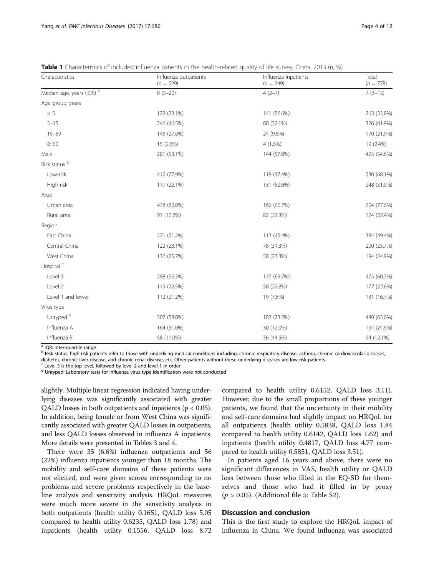| Characteristics                      | Influenza outpatients<br>$(n = 529)$ | Influenza inpatients<br>$(n = 249)$ | Total<br>$(n = 778)$ |
|--------------------------------------|--------------------------------------|-------------------------------------|----------------------|
| Median age, years (IQR) <sup>a</sup> | $8(5-20)$                            | $4(2-7)$                            | $7(3-15)$            |
| Age group, years                     |                                      |                                     |                      |
| < 5                                  | 122 (23.1%)                          | 141 (56.6%)                         | 263 (33.8%)          |
| $5 - 15$                             | 246 (46.5%)                          | 80 (32.1%)                          | 326 (41.9%)          |
| $16 - 59$                            | 146 (27.6%)                          | 24 (9.6%)                           | 170 (21.9%)          |
| $\geq 60$                            | 15 (2.8%)                            | 4 (1.6%)                            | 19 (2.4%)            |
| Male                                 | 281 (53.1%)                          | 144 (57.8%)                         | 425 (54.6%)          |
| Risk status <sup>b</sup>             |                                      |                                     |                      |
| Low-risk                             | 412 (77.9%)                          | 118 (47.4%)                         | 530 (68.1%)          |
| High-risk                            | 117 (22.1%)                          | 131 (52.6%)                         | 248 (31.9%)          |
| Area                                 |                                      |                                     |                      |
| Urban area                           | 438 (82.8%)                          | 166 (66.7%)                         | 604 (77.6%)          |
| Rural area                           | 91 (17.2%)                           | 83 (33.3%)                          | 174 (22.4%)          |
| Region                               |                                      |                                     |                      |
| East China                           | 271 (51.2%)                          | 113 (45.4%)                         | 384 (49.4%)          |
| Central China                        | 122 (23.1%)                          | 78 (31.3%)                          | 200 (25.7%)          |
| West China                           | 136 (25.7%)                          | 58 (23.3%)                          | 194 (24.9%)          |
| Hospital <sup>c</sup>                |                                      |                                     |                      |
| Level 3                              | 298 (56.3%)                          | 177 (69.7%)                         | 475 (60.7%)          |
| Level 2                              | 119 (22.5%)                          | 58 (22.8%)                          | 177 (22.6%)          |
| Level 1 and lower                    | 112 (21.2%)                          | 19 (7.5%)                           | 131 (16.7%)          |
| Virus type                           |                                      |                                     |                      |
| Untyped <sup>d</sup>                 | 307 (58.0%)                          | 183 (73.5%)                         | 490 (63.0%)          |
| Influenza A                          | 164 (31.0%)                          | 30 (12.0%)                          | 194 (24.9%)          |
| Influenza B                          | 58 (11.0%)                           | 36 (14.5%)                          | 94 (12.1%)           |

<span id="page-3-0"></span>Table 1 Characteristics of included influenza patients in the health-related quality of life survey, China, 2013 (n, %)

<sup>a</sup> IQR: inter-quartile range

<sup>b</sup> Risk status: high risk patients refer to those with underlying medical conditions including: chronic respiratory disease, asthma, chronic cardiovascular diseases, diabetes, chronic liver disease, and chronic renal disease, etc. Other patients without these underlying diseases are low risk patients

 $c$  Level 3 is the top level, followed by level 2 and level 1 in order

<sup>d</sup> Untyped: Laboratory tests for influenza virus type identification were not conducted

slightly. Multiple linear regression indicated having underlying diseases was significantly associated with greater QALD losses in both outpatients and inpatients ( $p < 0.05$ ). In addition, being female or from West China was significantly associated with greater QALD losses in outpatients, and less QALD losses observed in influenza A inpatients. More details were presented in Tables [3](#page-5-0) and [4.](#page-7-0)

There were 35 (6.6%) influenza outpatients and 56 (22%) influenza inpatients younger than 18 months. The mobility and self-care domains of these patients were not elicited, and were given scores corresponding to no problems and severe problems respectively in the baseline analysis and sensitivity analysis. HRQoL measures were much more severe in the sensitivity analysis in both outpatients (health utility 0.1651, QALD loss 5.05 compared to health utility 0.6235, QALD loss 1.78) and inpatients (health utility 0.1556, QALD loss 8.72 compared to health utility 0.6152, QALD loss 3.11). However, due to the small proportions of these younger patients, we found that the uncertainty in their mobility and self-care domains had slightly impact on HRQoL for all outpatients (health utility 0.5838, QALD loss 1.84 compared to health utility 0.6142, QALD loss 1.62) and inpatients (health utility 0.4817, QALD loss 4.77 compared to health utility 0.5851, QALD loss 3.51).

In patients aged 16 years and above, there were no significant differences in VAS, health utility or QALD loss between those who filled in the EQ-5D for themselves and those who had it filled in by proxy  $(p > 0.05)$ . (Additional file [5](#page-10-0): Table S2).

# Discussion and conclusion

This is the first study to explore the HRQoL impact of influenza in China. We found influenza was associated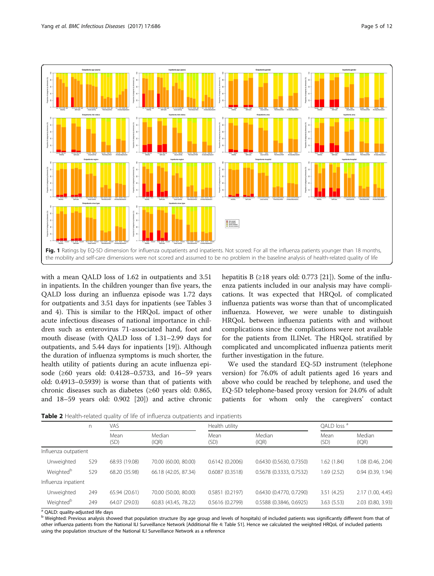<span id="page-4-0"></span>

with a mean QALD loss of 1.62 in outpatients and 3.51 in inpatients. In the children younger than five years, the QALD loss during an influenza episode was 1.72 days for outpatients and 3.51 days for inpatients (see Tables [3](#page-5-0) and [4](#page-7-0)). This is similar to the HRQoL impact of other acute infectious diseases of national importance in children such as enterovirus 71-associated hand, foot and mouth disease (with QALD loss of 1.31–2.99 days for outpatients, and 5.44 days for inpatients [\[19](#page-11-0)]). Although the duration of influenza symptoms is much shorter, the health utility of patients during an acute influenza episode (≥60 years old: 0.4128–0.5733, and 16–59 years old: 0.4913–0.5939) is worse than that of patients with chronic diseases such as diabetes (≥60 years old: 0.865, and 18–59 years old: 0.902 [\[20](#page-11-0)]) and active chronic hepatitis B  $(\geq 18$  years old: 0.773 [\[21](#page-11-0)]). Some of the influenza patients included in our analysis may have complications. It was expected that HRQoL of complicated influenza patients was worse than that of uncomplicated influenza. However, we were unable to distinguish HRQoL between influenza patients with and without complications since the complications were not available for the patients from ILINet. The HRQoL stratified by complicated and uncomplicated influenza patients merit further investigation in the future.

We used the standard EQ-5D instrument (telephone version) for 76.0% of adult patients aged 16 years and above who could be reached by telephone, and used the EQ-5D telephone-based proxy version for 24.0% of adult patients for whom only the caregivers' contact

Table 2 Health-related quality of life of influenza outpatients and inpatients

|                       | $\Gamma$ | <b>VAS</b>    |                      | Health utility  |                         | OALD loss <sup>a</sup> |                   |
|-----------------------|----------|---------------|----------------------|-----------------|-------------------------|------------------------|-------------------|
|                       |          | Mean<br>(SD)  | Median<br>(IQR)      | Mean<br>(SD)    | Median<br>(IQR)         | Mean<br>(SD)           | Median<br>(IQR)   |
| Influenza outpatient  |          |               |                      |                 |                         |                        |                   |
| Unweighted            | 529      | 68.93 (19.08) | 70.00 (60.00, 80.00) | 0.6142(0.2006)  | 0.6430 (0.5630, 0.7350) | 1.62 (1.84)            | 1.08 (0.46, 2.04) |
| Weighted <sup>b</sup> | 529      | 68.20 (35.98) | 66.18 (42.05, 87.34) | 0.6087(0.3518)  | 0.5678 (0.3333, 0.7532) | 1.69 (2.52)            | 0.94(0.39, 1.94)  |
| Influenza inpatient   |          |               |                      |                 |                         |                        |                   |
| Unweighted            | 249      | 65.94 (20.61) | 70.00 (50.00, 80.00) | 0.5851(0.2197)  | 0.6430 (0.4770, 0.7290) | 3.51(4.25)             | 2.17 (1.00, 4.45) |
| Weighted <sup>b</sup> | 249      | 64.07 (29.03) | 60.83 (43.45, 78.22) | 0.5616 (0.2799) | 0.5588 (0.3846, 0.6925) | 3.63(5.53)             | 2.03 (0.80, 3.93) |

<sup>a</sup> QALD: quality-adjusted life days

<sup>b</sup> Weighted: Previous analysis showed that population structure (by age group and levels of hospitals) of included patients was significantly different from that of other influenza patients from the National ILI Surveillance Network [Additional file [4:](#page-10-0) Table S1]. Hence we calculated the weighted HRQoL of included patients using the population structure of the National ILI Surveillance Network as a reference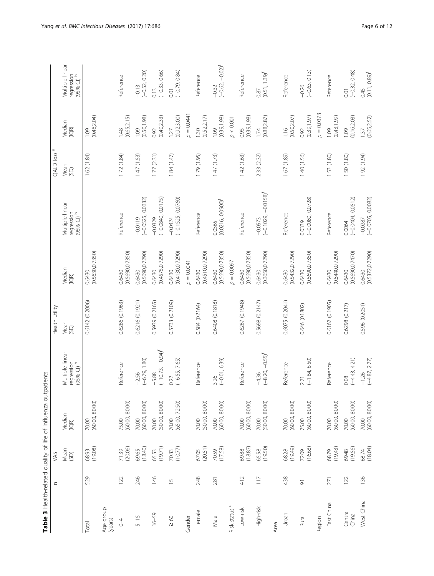<span id="page-5-0"></span>

|                          |                    |                  | Table 3 Health-related quality of life of influenza outpatients |                                                        |                 |                            |                                             |                |                      |                                             |
|--------------------------|--------------------|------------------|-----------------------------------------------------------------|--------------------------------------------------------|-----------------|----------------------------|---------------------------------------------|----------------|----------------------|---------------------------------------------|
|                          | C                  | VAS              |                                                                 |                                                        | Health utility  |                            |                                             | m<br>QALD loss |                      |                                             |
|                          |                    | Mean<br>(SD)     | Median<br>(IQR)                                                 | Multiple linear<br>regression<br>(95% CI) <sup>b</sup> | Mean<br>(SD)    | Median<br>(IQR)            | Multiple linear<br>regression<br>(95% CI) b | Mean<br>(SD)   | Median<br>(IQR)      | Multiple linear<br>regression<br>(95% CI) b |
| Total                    | 529                | (19.08)<br>68.93 | (60.00, 80.00)<br>70.00                                         |                                                        | 0.6142 (0.2006) | 0.6430<br>(0.5630,0.7350)  |                                             | 1.62(1.84)     | (0.46, 2.04)<br>1.09 |                                             |
| Age group<br>(years)     |                    |                  |                                                                 |                                                        |                 |                            |                                             |                |                      |                                             |
| $0 - 4$                  | 122                | (20.06)<br>71.39 | (60.00, 80.00)<br>75.00                                         | Reference                                              | 0.6286 (0.1963) | 0.6430<br>(0.5690,0.7350)  | Reference                                   | 1.72(1.84)     | (0.65, 2.15)<br>1.48 | Reference                                   |
| $5 - 15$                 | 246                | (18.40)<br>69.65 | (60.00, 80.00)<br>70.00                                         | $(-6.79, 1.80)$<br>$-2.56$                             | 0.6216 (0.1921) | (0.5690, 0.7290)<br>0.6430 | $(-0.0525, 0.0332)$<br>$-0.0119$            | 1.47(1.53)     | (0.50, 1.98)<br>1.09 | $(-0.52, 0.20)$<br>$-0.13$                  |
| $16 - 59$                | 146                | (19.71)<br>65.53 | (50.00, 80.00)<br>70.00                                         | $(-10.73, -0.94)^f$<br>$-5.88$                         | 0.5939 (0.2165) | (0.4575, 0.7290)<br>0.6430 | $(-0.0840, 0.0175)$<br>$-0.0329$            | 1.77(2.31)     | (0.40, 2.33)<br>0.92 | $(-0.33, 0.66)$<br>0.13                     |
| $\geq 60$                | $\overline{1}$     | (10.77)<br>70.33 | (65.00, 72.50)<br>70.00                                         | $(-6.55, 7.65)$<br>0.22                                | 0.5733 (0.2109) | (0.4130, 0.7290)<br>0.6430 | $(-0.1525, 0.0760)$<br>$-0.0424$            | 1.84(1.47)     | (0.92, 3.00)<br>1.27 | $(-0.79, 0.84)$<br>0.01                     |
| Gender                   |                    |                  |                                                                 |                                                        |                 | $p = 0.0041$               |                                             |                | $p = 0.0441$         |                                             |
| Female                   | 248                | (20.51)<br>67.05 | (50.00, 80.00)<br>70.00                                         | Reference                                              | 0.584 (0.2164)  | (0.4510, 0.7290)<br>0.6430 | Reference                                   | 1.79 (1.95)    | (0.52,2.17)<br>1.30  | Reference                                   |
| Male                     | 281                | (17.58)<br>70.59 | (60.00, 80.00)<br>70.00                                         | $(-0.01, 6.39)$<br>3.26                                | 0.6408 (0.1818) | (0.5690, 0.7350)<br>0.6430 | $(0.0216, 0.0900)^f$<br>0.0565              | 1.47(1.73)     | (0.39, 1.98)<br>1.09 | $(-0.62, -0.02)^f$<br>$-0.32$               |
| Risk status <sup>c</sup> |                    |                  |                                                                 |                                                        |                 | $p = 0.0097$               |                                             |                | p < 0.001            |                                             |
| Low-risk                 | 412                | 69.88<br>(18.87) | (60.00, 80.00)<br>70.00                                         | Reference                                              | 0.6267 (0.1948) | (0.5690, 0.7350)<br>0.6430 | Reference                                   | 1.42(1.63)     | (0.39, 1.98)<br>0.95 | Reference                                   |
| High-risk                | $\overline{117}$   | 65.58<br>(19.50) | (50.00, 80.00)<br>70.00                                         | $-4.36$<br>$(-8.20, -0.55)^f$                          | 0.5698 (0.2147) | (0.3650, 0.7290)<br>0.6430 | $(-0.1029, -0.0158)^{f}$<br>$-0.0573$       | 2.33 (2.32)    | (0.88, 2.87)<br>1.74 | $(0.51, 1.39)^f$<br>0.87                    |
| Area                     |                    |                  |                                                                 |                                                        |                 |                            |                                             |                |                      |                                             |
| Urban                    | 438                | (19.49)<br>68.28 | (60.00, 80.00)<br>70.00                                         | Reference                                              | 0.6075 (0.2041) | (0.5432, 0.7290)<br>0.6430 | Reference                                   | 1.67(1.89)     | (0.50, 2.07)<br>1.16 | Reference                                   |
| Rural                    | $\overline{\circ}$ | (16.68)<br>72.09 | (60.00, 80.00)<br>75.00                                         | $(-1.84, 6.50)$<br>2.71                                | 0.646 (0.1802)  | (0.5690, 0.7350)<br>0.6430 | $(-0.0080, 0.0728)$<br>0.0339               | 1.40 (1.56)    | (0.39, 1.97)<br>0.92 | $(-0.63, 0.13)$<br>$-0.26$                  |
| Region                   |                    |                  |                                                                 |                                                        |                 |                            |                                             |                | $p = 0.0373$         |                                             |
| East China               | 271                | (19.43)<br>68.79 | (60.00, 80.00)<br>70.00                                         | Reference                                              | 0.6162 (0.1905) | 0.6430<br>(0.5440,0.7290)  | Reference                                   | 1.53 (1.80)    | (0.43, 1.99)<br>1.09 | Reference                                   |
| Central<br>China         | 122                | 69.48<br>(19.56) | (60.00, 80.00)<br>70.00                                         | $(-4.43, 4.21)$<br>0.08                                | 0.6298 (0.217)  | (0.5690, 0.7470)<br>0.6430 | $(-0.0404, 0.0512)$<br>0.0064               | 1.50 (1.80)    | (0.16, 2.03)<br>1.09 | $(-0.32, 0.48)$<br>0.01                     |
| West China               | 136                | (18.04)<br>68.74 | (60.00, 80.00)<br>70.00                                         | $-1.26$<br>$(-4.87, 2.77)$                             | 0.596 (0.2051)  | 0.6430<br>(0.5372,0.7290)  | $(-0.0705, 0.0082)$<br>$-0.0287$            | (1.92(1.94))   | (0.65, 2.52)<br>1.37 | $0.45$<br>(0.11, 0.89) <sup>f</sup>         |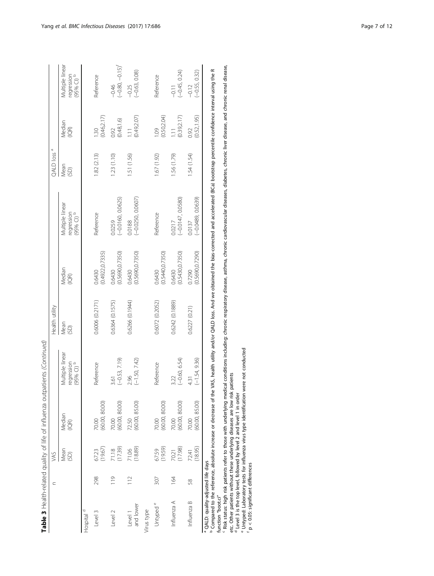|                                               | $\subset$      | VAS              |                         | <b>DRESS LESS LA SERVICIÓN DE SURFACIÓN DE SU DE SU DE SU DE SU DE SUS LA SERVICIÓN DE SURFACIÓN DE SU</b> | Health utility  |                            |                                                    | QALD loss <sup>a</sup> |                                 |                                                        |
|-----------------------------------------------|----------------|------------------|-------------------------|------------------------------------------------------------------------------------------------------------|-----------------|----------------------------|----------------------------------------------------|------------------------|---------------------------------|--------------------------------------------------------|
|                                               |                | Mean<br>(SD)     | Median<br>(10R)         | Multiple linear<br>regression<br>(95% CI) <sup>b</sup>                                                     | Mean<br>(SD)    | Median<br>(1QR)            | Multiple linear<br>regression<br>$(95%$ CI) $^{b}$ | Mean<br>(SD)           | Median<br>(10R)                 | Multiple linear<br>regression<br>(95% CI) <sup>b</sup> |
| U<br>Hospital                                 |                |                  |                         |                                                                                                            |                 |                            |                                                    |                        |                                 |                                                        |
| Level 3                                       | 298            | (19.67)<br>67.23 | (60.00, 80.00)<br>70.00 | Reference                                                                                                  | 0.6006 (0.2171) | (0.4922, 0.7335)<br>0.6430 | Reference                                          | 1.82(2.13)             | (0.46, 2.17)<br>1.30            | Reference                                              |
| Level 2                                       | $\frac{9}{10}$ | 71.18<br>(17.39) | (60.00, 80.00)<br>70.00 | $(-0.53, 7.19)$<br>3.61                                                                                    | 0.6364 (0.1575) | (0.5690, 0.7350)<br>0.6430 | $(-0.0160, 0.0625)$<br>0.0259                      | 1.23(1.10)             | (0.48, 1.6)<br>0.92             | $-0.46$<br>$(-0.80, -0.15)^f$                          |
| and lower<br>Level 1                          | $\frac{2}{2}$  | (18.89)<br>71.06 | 72.50<br>(60.00, 85.00) | $(-1.50, 7.42)$<br>2.96                                                                                    | 0.6266 (0.1944) | (0.5690, 0.7350)<br>0.6430 | $(-0.0250, 0.0607)$<br>0.0188                      | 1.51 (1.56)            | (0.49, 2.07)<br>$\overline{11}$ | $(-0.63, 0.08)$<br>$-0.25$                             |
| Virus type                                    |                |                  |                         |                                                                                                            |                 |                            |                                                    |                        |                                 |                                                        |
| Untyped <sup>e</sup>                          | 307            | (19.59)<br>67.59 | (60.00, 80.00)<br>70.00 | Reference                                                                                                  | 0.6072 (0.2052) | (0.5440, 0.7350)<br>0.6430 | Reference                                          | 1.67(1.92)             | (0.50, 2.04)<br>001             | Reference                                              |
| Influenza A                                   | 164            | (17.98)<br>70.21 | (60.00, 80.00)<br>70.00 | $(-0.60, 6.54)$<br>3.22                                                                                    | 0.6242 (0.1889) | (0.5430, 0.7350)<br>0.6430 | $(-0.0147, 0.0580)$<br>0.0217                      | 1.56(1.79)             | (0.39,2.17)<br>$\equiv$         | $(-0.45, 0.24)$<br>$-0.11$                             |
| Influenza B                                   | 58             | (18.95)<br>72.41 | (60.00, 85.00)<br>70.00 | $(-1.54, 9.36)$<br>431                                                                                     | 0.6227 (0.21)   | (0.5690, 0.7290)<br>0.7290 | $(-0.0489, 0.0639)$<br>0.0137                      | 1.54 (1.54)            | (0.52, 1.95)<br>0.92            | $-0.55, 0.32$<br>$-0.12$                               |
| <sup>a</sup> QALD: quality-adjusted life days |                |                  |                         |                                                                                                            |                 |                            |                                                    |                        |                                 |                                                        |

Outpatients (Continued) **Table 3** Health-related quality of life of influenza outpatients (Continued)  $\mathbf{r}$ .ه.: ع. ے:ا عہ  $\pm$ J,  $\frac{1}{2}$ T-14 C -14-

QALD: quality-adjusted life days

- UALLY. qually-adjusted life days<br><sup>b</sup> Compared to the reference, absolute increase or decrease of the VAS, health utility and/or QALD loss. And we obtained the bias-corrected and accelerated (BCa) bootstrap percentile con <sup>D</sup>Compared to the reference, absolute increase or decrease of the VAS, health utility and/or QALD loss. And we obtained the bias-corrected and accelerated (BCa) bootstrap percentile confidence interval using the R function "boot.ci" function "boot.ci"

cdef Risk status: high risk patients refer to those with underlying medical conditions including: chronic respiratory disease, asthma, chronic cardiovascular diseases, diabetes, chronic liver disease, and chronic renal disease, etc. Other patients without these underlying diseases are low risk patients

Level 3 is the top level, followed by level 2 and level 1 in order

Untyped: Laboratory tests for influenza virus type identification were not conducted

p < 0.05: significant differences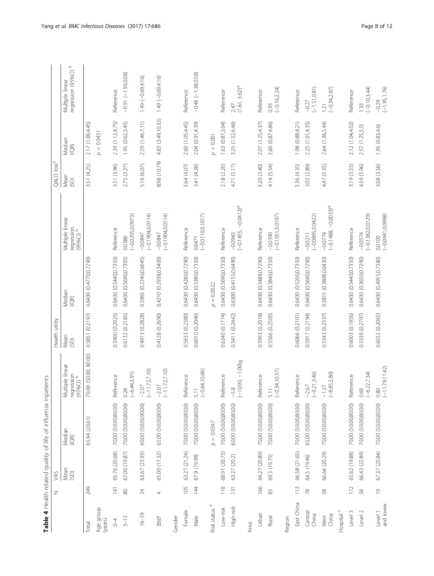<span id="page-7-0"></span>

|                          | Z               | VAS           | Table 4 Health-related quality of life of influenza inpatients |                                            | Health utility  |                        |                                                       | QALD loss <sup>a</sup> |                    |                                         |
|--------------------------|-----------------|---------------|----------------------------------------------------------------|--------------------------------------------|-----------------|------------------------|-------------------------------------------------------|------------------------|--------------------|-----------------------------------------|
|                          |                 | Mean<br>(SD)  | Median<br>(IQR)                                                | Multiple linear<br>regression<br>(95%Cl) b | Mean<br>(SD)    | Median<br>(1QR)        | Multiple linear<br>regression<br>(95%Cl) <sup>b</sup> | Mean<br>(SD)           | Median<br>(1QR)    | regression (95%CI) b<br>Multiple linear |
| Total                    | 249             |               | 65.94 (20.61)                                                  | 70.00 (50.00, 80.00)                       | 0.5851 (0.2197) | 0.6430 (0.4770,0.7290) |                                                       | 3.51 (4.25)            | 2.17 (1.00,4.45)   |                                         |
| Age group<br>(years)     |                 |               |                                                                |                                            |                 |                        |                                                       |                        | $p = 0.0431$       |                                         |
| $0 - 4$                  | $\frac{14}{1}$  | 65.76 (20.68) | 70.00 (50.00,80.00)                                            | Reference                                  | 0.5900 (0.2025) | 0.6430 (0.5440,0.7350) | Reference                                             | 3.51 (3.96)            | 2.39 (1.12,4.75)   | Reference                               |
| $5 - 15$                 | $\otimes$       | 67.00 (19.87) | 70.00 (50.00,80.00)                                            | $(-6.44, 5.91)$<br>0.28                    | 0.6132 (0.2185) | 0.6430 (0.5690,0.7305) | $(-0.0205, 0.0973)$<br>0.0386                         | 2.75 (3.27)            | 1.95(0.62, 3.45)   | $-0.91(-1.93,0.08)$                     |
| $16 - 59$                | $24\,$          | 63.67 (23.93) | 60.00 (50.00,90.00)                                            | $(-11.72, 7.10)$<br>$-2.07$                | 0.4913 (0.2828) | 0.5965 (0.2240,0.6645) | $(-0.1904, 0.0114)$<br>$-0.0847$                      | 5.16 (6.07)            | 2.59 (1.46,7.11)   | $1.49 (-0.69, 4.16)$                    |
| $\geq 60^\circ$          | 4               | 55.00 (17.32) | 65.00 (50.00,80.00)                                            | $-2.07$<br>$(-11.72,7.10)$                 | 0.4128 (0.2690) | 0.4210 (0.2938,0.5400) | $(-0.1904, 0.0114)$<br>$-0.0847$                      | 8.98 (10.79)           | 4.83 (3.49, 10.32) | $1.49(-0.69,4.16)$                      |
| Gender                   |                 |               |                                                                |                                            |                 |                        |                                                       |                        |                    |                                         |
| Female                   | 105             | 63.27 (21.24) | 70.00 (50.00,80.00)                                            | Reference                                  | 0.5633 (0.2380) | 0.6430 (0.4280,0.7290) | Reference                                             | 3.64 (4.07)            | 2.60 (1.05,4.45)   | Reference                               |
| Male                     | $\frac{1}{4}$   | 67.9 (19.99)  | 70.00 (50.00,80.00)                                            | 64,10.66)<br>5.11<br>$\overline{C}$        | 0.6010 (0.2046) | 0.6430 (0.5380,0.7350) | $(-0.0110, 0.1017)$<br>0.0471                         | 3.41 (4.38)            | 2.04 (0.91,4.39)   | $-0.46$ $(-1.38,0.58)$                  |
| Risk status <sup>d</sup> |                 |               | $p = 0.0347$                                                   |                                            |                 | $p = 0.0022$           |                                                       |                        | p < 0.001          |                                         |
| Low-risk                 | 118             | 68.91 (20.75) | 70.00 (50.00,80.00)                                            | Reference                                  | 0.6340 (0.1774) | 0.6430 (0.5690,0.7350) | Reference                                             | 2.18 (2.26)            | 1.63 (0.87,3.04)   | Reference                               |
| High-risk                | 131             | 63.27 (20.2)  | 60.00 (50.00,80.00)                                            | $-5.8$<br>$(-10.90, -1.00)g$               | 0.5411 (0.2442) | 0.6300 (0.4155,0.6490) | $(-0.1455, -0.0412)^9$<br>$-0.0943$                   | 4.71 (5.17)            | 3.25 (1.52,6.46)   | $(1.61, 3.62)^9$<br>2.47                |
| Area                     |                 |               |                                                                |                                            |                 |                        |                                                       |                        |                    |                                         |
| Urban                    | 166             | 64.27 (20.89) | 70.00 (50.00,80.00)                                            | Reference                                  | 0.5993 (0.2018) | 0.6430 (0.5488,0.7290) | Reference                                             | 3.20 (3.40)            | 2.07 (1.25,4.37)   | Reference                               |
| Rural                    | 83              | 69.3 (19.75)  | 70.00 (50.00,80.00)                                            | 34,10.57)<br>5.11<br>$\overline{C}$        | 0.5566 (0.2505) | 0.6430 (0.3840,0.7350) | $(-0.1051, 0.0197)$<br>$-0.0390$                      | 4.14 (5.54)            | 2.60 (0.87,4.86)   | $(-0.16, 2.24)$<br>0.93                 |
| Region                   |                 |               |                                                                |                                            |                 |                        |                                                       |                        |                    |                                         |
| East China               | 113             | 66.58 (21.65) | 70.00 (50.00,80.00)                                            | Reference                                  | 0.6066 (0.2101) | 0.6430 (0.5200,0.7350) | Reference                                             | 3.36 (4.35)            | 1.98 (0.88,4.21)   | Reference                               |
| Central<br>China         | $\overline{78}$ | 64.5 (19.46)  | 65.00 (50.00,80.00)                                            | $(-9.21, 3.46)$<br>$-2.67$                 | 0.5917 (0.2194) | 0.6430 (0.5690,0.7290) | $(-0.0895, 0.0422)$<br>$-0.0211$                      | 3.02 (2.89)            | 2.25 (1.01,4.35)   | $(-1.51, 0.81)$<br>$-0.27$              |
| China<br>West            | 58              | 66.64 (20.29) | 70.00 (50.00,80.00)                                            | $-1.27$<br>$(-8.85,5.80)$                  | 0.5343 (0.2337) | 0.5815 (0.3808,0.6430) | $(-0.1488, -0.0033)^9$<br>$-0.0774$                   | 4.47 (5.35)            | 2.64 (1.36,5.44)   | $(-0.34, 2.87)$<br>121                  |
| Hospital <sup>e</sup>    |                 |               |                                                                |                                            |                 |                        |                                                       |                        |                    |                                         |
| S<br>Level               | 172             | 65.62 (19.88) | 70.00 (50.00,80.00)                                            | Reference                                  | 0.6003 (0.1956) | 0.6430 (0.5440,0.7350) | Reference                                             | 3.19 (3.53)            | 2.12 (1.04,4.02)   | Reference                               |
| $\sim$<br>Level          | 58              | 66.43 (22.89) | 70.00 (50.00,80.00)                                            | .22, 7.34)<br>0.69<br>$(-6)$               | 0.5339 (0.2797) | 0.6430 (0.3650,0.7290) | $(-0.1382, 0.0129)$<br>$-0.0574$                      | 4.59 (5.96)            | 2.57 (1.25,5.5)    | $(-0.10,3.44)$<br>1.33                  |
| and lower<br>Level 1     | $\overline{0}$  | 67.37 (20.84) | 70.00 (50.00,80.00)                                            | $(-11.79, 11.42)$<br>0.80                  | 0.6032 (0.2065) | 0.6430 (0.4955,0.7380) | $(-0.0941, 0.0998)$<br>0.0100                         | 3.08 (3.58)            | 1.95(0.83,4.6)     | $(-1.95, 1.76)$<br>$-0.29$              |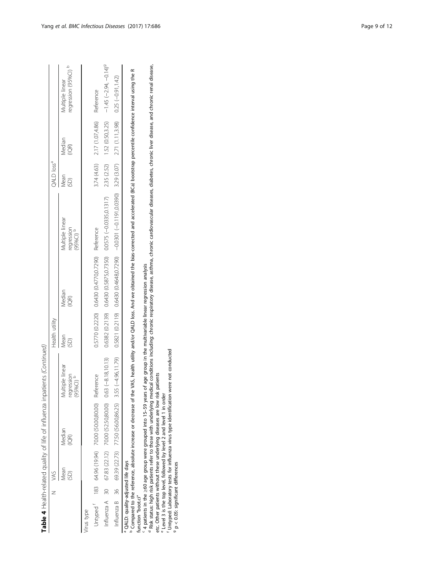| <b>THE PARTISE IS A PARTISE IN THE STATE OF A PARTISE IS A PARTISE OF A PARTISE OF A PARTISE OF A PARTISE I</b> | VAS        |                                                                      |                                                                                                                            | Health utility |                                                  |                                                                                                                                                                                                                                  | <b>OALD</b> loss <sup>a</sup> |                                                        |                                                    |
|-----------------------------------------------------------------------------------------------------------------|------------|----------------------------------------------------------------------|----------------------------------------------------------------------------------------------------------------------------|----------------|--------------------------------------------------|----------------------------------------------------------------------------------------------------------------------------------------------------------------------------------------------------------------------------------|-------------------------------|--------------------------------------------------------|----------------------------------------------------|
|                                                                                                                 | Mean<br>යූ | Median<br>(IQR)                                                      | Multiple linear<br>ression<br>$(95%Cl)$ b<br>regr                                                                          | Mean<br>(SD)   | Median<br>$\widetilde{C}$                        | Multiple linear<br>regression<br>$(95%C1)$ <sup>b</sup>                                                                                                                                                                          | Mean<br>(SD)                  | Median<br>$\begin{matrix} 1 & 1 \\ 0 & 1 \end{matrix}$ | regression (95%CI) <sup>b</sup><br>Multiple linear |
| Virus type                                                                                                      |            |                                                                      |                                                                                                                            |                |                                                  |                                                                                                                                                                                                                                  |                               |                                                        |                                                    |
|                                                                                                                 |            | Untyped <sup>+</sup> 183 64.96 (19.94) 70.00 (50.00,80.00) Reference |                                                                                                                            |                | 0.5770 (0.2220) 0.6430 (0.4770,0.7290) Reference |                                                                                                                                                                                                                                  | 3.74(4.63)                    | 2.17 (1.07,4.86)                                       | Reference                                          |
|                                                                                                                 |            | Influenza A 30 67.83 (22.12) 70.00 (52.50,80.00) 0.63                | $(-8.18, 10.13)$                                                                                                           |                |                                                  | 0.6382 (0.2139) 0.6430 (0.5875,0.7350) 0.0575 (-0.0335,0.1317)                                                                                                                                                                   | 2.35 (2.52)                   | 1.52 (0.50,3.25)                                       | $-1.45 (-2.94, -0.14)^9$                           |
|                                                                                                                 |            |                                                                      |                                                                                                                            |                |                                                  | Influenza B 36 69.723) 77.50 (62.0239 (22.73) 77.50 56.0238,02340,0.2390 (0.129) 0.64348,0.7290) 0.5821 (0.2191,0.729) 9.250 1.2.99 (1.1.1.3.25) 1.3.98) 0.250 1.3.98) 0.250 1.4.20                                              |                               |                                                        |                                                    |
| <sup>a</sup> QALD: quality-adjusted life days<br>function "boot.ci"                                             |            |                                                                      | 4 patients in the 260 age group were grouped into 15-59 years of age group in the multivariable linear regression analysis |                |                                                  | <sup>p</sup> Compared to the reference, absolute increase or decrease of the VAS, health utility and/or QALD loss. And we obtained the bias-corrected and accelerated (BCa) bootstrap percentile confidence interval using the R |                               |                                                        |                                                    |

**Table 4** Health-related quality of life of influenza innatients (Continued) **Table 4** Health-related quality of life of influenza inpatients (Continued) defg<sup>o</sup> Risk status: high risk patients refer to those with underlying medical conditions including: chronic respiratory disease, asthma, chronic cardiovascular diseases, diabetes, chronic liver disease, and chronic renal dise etc. Other patients without these underlying diseases are low risk patients

Level 3 is the top level, followed by level 2 and level 1 in order

Untyped: Laboratory tests for influenza virus type identification were not conducted

 $9$  p < 0.05: significant differences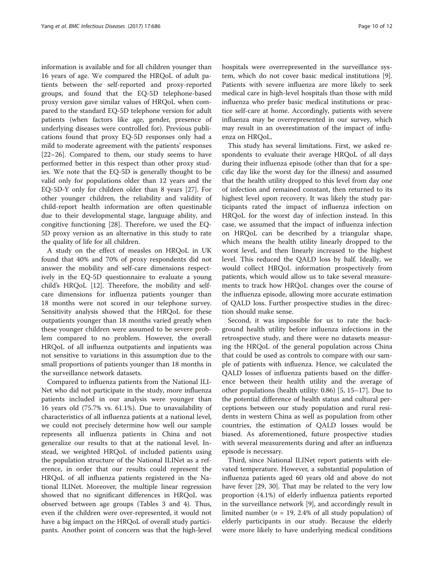information is available and for all children younger than 16 years of age. We compared the HRQoL of adult patients between the self-reported and proxy-reported groups, and found that the EQ-5D telephone-based proxy version gave similar values of HRQoL when compared to the standard EQ-5D telephone version for adult patients (when factors like age, gender, presence of underlying diseases were controlled for). Previous publications found that proxy EQ-5D responses only had a mild to moderate agreement with the patients' responses [[22](#page-11-0)–[26](#page-11-0)]. Compared to them, our study seems to have performed better in this respect than other proxy studies. We note that the EQ-5D is generally thought to be valid only for populations older than 12 years and the EQ-5D-Y only for children older than 8 years [\[27](#page-11-0)]. For other younger children, the reliability and validity of child-report health information are often questinable due to their developmental stage, language ability, and congitive functioning [\[28\]](#page-11-0). Therefore, we used the EQ-5D proxy version as an alternative in this study to rate the quality of life for all children.

A study on the effect of measles on HRQoL in UK found that 40% and 70% of proxy respondents did not answer the mobility and self-care dimensions respectively in the EQ-5D questionnaire to evaluate a young child's HRQoL [[12](#page-11-0)]. Therefore, the mobility and selfcare dimensions for influenza patients younger than 18 months were not scored in our telephone survey. Sensitivity analysis showed that the HRQoL for these outpatients younger than 18 months varied greatly when these younger children were assumed to be severe problem compared to no problem. However, the overall HRQoL of all influenza outpatients and inpatients was not sensitive to variations in this assumption due to the small proportions of patients younger than 18 months in the surveillance network datasets.

Compared to influenza patients from the National ILI-Net who did not participate in the study, more influenza patients included in our analysis were younger than 16 years old (75.7% vs. 61.1%). Due to unavailability of characteristics of all influenza patients at a national level, we could not precisely determine how well our sample represents all influenza patients in China and not generalize our results to that at the national level. Instead, we weighted HRQoL of included patients using the population structure of the National ILINet as a reference, in order that our results could represent the HRQoL of all influenza patients registered in the National ILINet. Moreover, the multiple linear regression showed that no significant differences in HRQoL was observed between age groups (Tables [3](#page-5-0) and [4](#page-7-0)). Thus, even if the children were over-represented, it would not have a big impact on the HRQoL of overall study participants. Another point of concern was that the high-level hospitals were overrepresented in the surveillance system, which do not cover basic medical institutions [\[9](#page-11-0)]. Patients with severe influenza are more likely to seek medical care in high-level hospitals than those with mild influenza who prefer basic medical institutions or practice self-care at home. Accordingly, patients with severe influenza may be overrepresented in our survey, which may result in an overestimation of the impact of influenza on HRQoL.

This study has several limitations. First, we asked respondents to evaluate their average HRQoL of all days during their influenza episode (other than that for a specific day like the worst day for the illness) and assumed that the health utility dropped to this level from day one of infection and remained constant, then returned to its highest level upon recovery. It was likely the study participants rated the impact of influenza infection on HRQoL for the worst day of infection instead. In this case, we assumed that the impact of influenza infection on HRQoL can be described by a triangular shape, which means the health utility linearly dropped to the worst level, and then linearly increased to the highest level. This reduced the QALD loss by half. Ideally, we would collect HRQoL information prospectively from patients, which would allow us to take several measurements to track how HRQoL changes over the course of the influenza episode, allowing more accurate estimation of QALD loss. Further prospective studies in the direction should make sense.

Second, it was impossible for us to rate the background health utility before influenza infections in the retrospective study, and there were no datasets measuring the HRQoL of the general population across China that could be used as controls to compare with our sample of patients with influenza. Hence, we calculated the QALD losses of influenza patients based on the difference between their health utility and the average of other populations (health utility: 0.86) [[5](#page-10-0), [15](#page-11-0)–[17](#page-11-0)]. Due to the potential difference of health status and cultural perceptions between our study population and rural residents in western China as well as population from other countries, the estimation of QALD losses would be biased. As aforementioned, future prospective studies with several measurements during and after an influenza episode is necessary.

Third, since National ILINet report patients with elevated temperature. However, a substantial population of influenza patients aged 60 years old and above do not have fever [\[29](#page-11-0), [30\]](#page-11-0). That may be related to the very low proportion (4.1%) of elderly influenza patients reported in the surveillance network [\[9\]](#page-11-0), and accordingly result in limited number ( $n = 19, 2.4\%$  of all study population) of elderly participants in our study. Because the elderly were more likely to have underlying medical conditions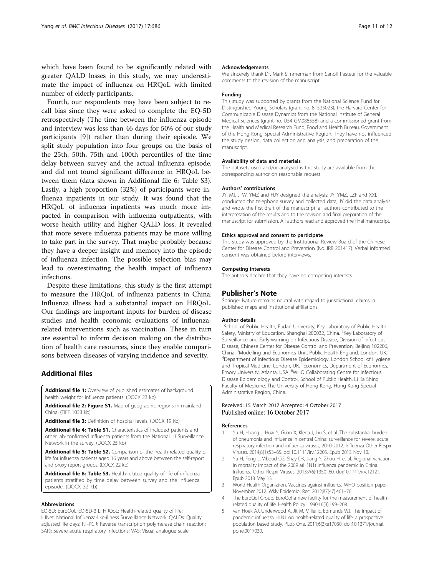<span id="page-10-0"></span>which have been found to be significantly related with greater QALD losses in this study, we may underestimate the impact of influenza on HRQoL with limited number of elderly participants.

Fourth, our respondents may have been subject to recall bias since they were asked to complete the EQ-5D retrospectively (The time between the influenza episode and interview was less than 46 days for 50% of our study participants [[9\]](#page-11-0)) rather than during their episode. We split study population into four groups on the basis of the 25th, 50th, 75th and 100th percentiles of the time delay between survey and the actual influenza episode, and did not found significant difference in HRQoL between them (data shown in Additional file 6: Table S3). Lastly, a high proportion (32%) of participants were influenza inpatients in our study. It was found that the HRQoL of influenza inpatients was much more impacted in comparison with influenza outpatients, with worse health utility and higher QALD loss. It revealed that more severe influenza patients may be more willing to take part in the survey. That maybe probably because they have a deeper insight and memory into the episode of influenza infection. The possible selection bias may lead to overestimating the health impact of influenza infections.

Despite these limitations, this study is the first attempt to measure the HRQoL of influenza patients in China. Influenza illness had a substantial impact on HRQoL. Our findings are important inputs for burden of disease studies and health economic evaluations of influenzarelated interventions such as vaccination. These in turn are essential to inform decision making on the distribution of health care resources, since they enable comparisons between diseases of varying incidence and severity.

# Additional files

[Additional file 1:](dx.doi.org/10.1186/s12879-017-2801-2) Overview of published estimates of background health weight for influenza patients. (DOCX 23 kb)

[Additional file 2: Figure S1.](dx.doi.org/10.1186/s12879-017-2801-2) Map of geographic regions in mainland China. (TIFF 1033 kb)

[Additional file 3:](dx.doi.org/10.1186/s12879-017-2801-2) Definition of hospital levels. (DOCX 19 kb)

[Additional file 4: Table S1.](dx.doi.org/10.1186/s12879-017-2801-2) Characteristics of included patients and other lab-confirmed influenza patients from the National ILI Surveillance Network in the survey. (DOCX 25 kb)

[Additional file 5: Table S2.](dx.doi.org/10.1186/s12879-017-2801-2) Comparison of the health-related quality of life for influenza patients aged 16 years and above between the self-report and proxy-report groups. (DOCX 22 kb)

[Additional file 6: Table S3.](dx.doi.org/10.1186/s12879-017-2801-2) Health-related quality of life of influenza patients stratified by time delay between survey and the influenza episode. (DOCX 32 kb)

#### Abbreviations

EQ-5D: EuroQoL EQ-5D-3 L; HRQoL: Health-related quality of life; ILINet: National Influenza-like-illness Surveillance Network; QALDs: Quality adjusted life days; RT-PCR: Reverse transcription polymerase chain reaction; SARI: Severe acute respiratory infections; VAS: Visual analogue scale

#### Acknowledgements

We sincerely thank Dr. Mark Simmerman from Sanofi Pasteur for the valuable comments to the revision of the manuscript.

#### Funding

This study was supported by grants from the National Science Fund for Distinguished Young Scholars (grant no. 81525023), the Harvard Center for Communicable Disease Dynamics from the National Institute of General Medical Sciences (grant no. U54 GM088558) and a commissioned grant from the Health and Medical Research Fund, Food and Health Bureau, Government of the Hong Kong Special Administrative Region. They have not influenced the study design, data collection and analysis, and preparation of the manuscript.

#### Availability of data and materials

The datasets used and/or analysed is this study are available from the corresponding author on reasonable request.

#### Authors' contributions

JY, MJ, JTW, YMZ and HJY designed the analysis; JY, YMZ, LZF and XXL conducted the telephone survey and collected data; JY did the data analysis and wrote the first draft of the manuscript; all authors contributed to the interpretation of the results and to the revision and final preparation of the manuscript for submission. All authors read and approved the final manuscript.

#### Ethics approval and consent to participate

This study was approved by the Institutional Review Board of the Chinese Center for Disease Control and Prevention (No. IRB 201417). Verbal informed consent was obtained before interviews.

## Competing interests

The authors declare that they have no competing interests.

# Publisher's Note

Springer Nature remains neutral with regard to jurisdictional claims in published maps and institutional affiliations.

#### Author details

<sup>1</sup>School of Public Health, Fudan University, Key Laboratory of Public Health Safety, Ministry of Education, Shanghai 200032, China. <sup>2</sup>Key Laboratory of Surveillance and Early-warning on Infectious Disease, Division of Infectious Disease, Chinese Center for Disease Control and Prevention, Beijing 102206, China. <sup>3</sup> Modelling and Economics Unit, Public Health England, London, UK.<br><sup>4</sup> Dopartment of Infectious Disease Enidemialogy, London School of Hygier <sup>4</sup>Department of Infectious Disease Epidemiology, London School of Hygiene and Tropical Medicine, London, UK. <sup>5</sup> Economics, Department of Economics Emory University, Atlanta, USA. <sup>6</sup>WHO Collaborating Centre for Infectious Disease Epidemiology and Control, School of Public Health, Li Ka Shing Faculty of Medicine, The University of Hong Kong, Hong Kong Special Administrative Region, China.

## Received: 15 March 2017 Accepted: 4 October 2017 Published online: 16 October 2017

#### References

- 1. Yu H, Huang J, Huai Y, Guan X, Klena J, Liu S, et al. The substantial burden of pneumonia and influenza in central China: surveillance for severe, acute respiratory infection and influenza viruses, 2010-2012. Influenza Other Respir Viruses. 2014;8(1):53–65. doi:[10.1111/irv.12205](http://dx.doi.org/10.1111/irv.12205). Epub 2013 Nov 10.
- 2. Yu H, Feng L, Viboud CG, Shay DK, Jiang Y, Zhou H, et al. Regional variation in mortality impact of the 2009 a(H1N1) influenza pandemic in China. Influenza Other Respir Viruses. 2013;7(6):1350–60. doi:[10.1111/irv.12121.](http://dx.doi.org/10.1111/irv.12121) Epub 2013 May 13.
- 3. World Health Organiztion. Vaccines against influenza WHO position paper-November 2012. Wkly Epidemiol Rec. 2012;87(47):461–76.
- 4. The EuroQol Group. EuroQol-a new facility for the measurement of healthrelated quality of life. Health Policy. 1990;16(3):199–208.
- 5. van Hoek AJ, Underwood A, Jit M, MIller E, Edmunds WJ. The impact of pandemic influenza H1N1 on health-related quality of life: a prospective population based study. PLoS One. 2011;6(3):e17030. doi:[10.1371/journal.](http://dx.doi.org/10.1371/journal.pone.0017030) [pone.0017030.](http://dx.doi.org/10.1371/journal.pone.0017030)